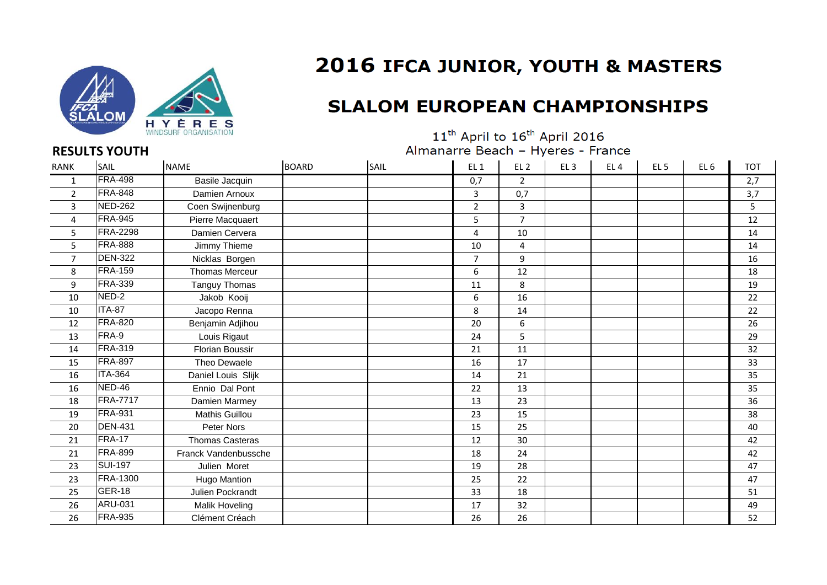

## 2016 IFCA JUNIOR, YOUTH & MASTERS

## **SLALOM EUROPEAN CHAMPIONSHIPS**

 $11^{\text{th}}$  April to  $16^{\text{th}}$  April 2016 Almanarre Beach - Hyeres - France

| <b>RANK</b>    | SAIL            | <b>NAME</b>            | <b>BOARD</b> | SAIL | EL <sub>1</sub> | EL <sub>2</sub> | EL <sub>3</sub> | EL <sub>4</sub> | EL <sub>5</sub> | EL <sub>6</sub> | <b>TOT</b> |
|----------------|-----------------|------------------------|--------------|------|-----------------|-----------------|-----------------|-----------------|-----------------|-----------------|------------|
| 1              | <b>FRA-498</b>  | Basile Jacquin         |              |      | 0,7             | $\mathbf{2}$    |                 |                 |                 |                 | 2,7        |
| $\overline{2}$ | <b>FRA-848</b>  | Damien Arnoux          |              |      | 3               | 0,7             |                 |                 |                 |                 | 3,7        |
| 3              | <b>NED-262</b>  | Coen Swijnenburg       |              |      | $\overline{2}$  | 3               |                 |                 |                 |                 | 5          |
| 4              | <b>FRA-945</b>  | Pierre Macquaert       |              |      | 5               | $\overline{7}$  |                 |                 |                 |                 | 12         |
| 5              | <b>FRA-2298</b> | Damien Cervera         |              |      | 4               | 10              |                 |                 |                 |                 | 14         |
| 5              | <b>FRA-888</b>  | Jimmy Thieme           |              |      | 10              | $\overline{4}$  |                 |                 |                 |                 | 14         |
| $\overline{7}$ | <b>DEN-322</b>  | Nicklas Borgen         |              |      | $\overline{7}$  | 9               |                 |                 |                 |                 | 16         |
| 8              | <b>FRA-159</b>  | <b>Thomas Merceur</b>  |              |      | 6               | 12              |                 |                 |                 |                 | 18         |
| 9              | <b>FRA-339</b>  | Tanguy Thomas          |              |      | 11              | 8               |                 |                 |                 |                 | 19         |
| 10             | NED-2           | Jakob Kooij            |              |      | 6               | 16              |                 |                 |                 |                 | 22         |
| 10             | <b>ITA-87</b>   | Jacopo Renna           |              |      | 8               | 14              |                 |                 |                 |                 | 22         |
| 12             | <b>FRA-820</b>  | Benjamin Adjihou       |              |      | 20              | 6               |                 |                 |                 |                 | 26         |
| 13             | FRA-9           | Louis Rigaut           |              |      | 24              | 5               |                 |                 |                 |                 | 29         |
| 14             | <b>FRA-319</b>  | <b>Florian Boussir</b> |              |      | 21              | 11              |                 |                 |                 |                 | 32         |
| 15             | <b>FRA-897</b>  | Theo Dewaele           |              |      | 16              | 17              |                 |                 |                 |                 | 33         |
| 16             | <b>ITA-364</b>  | Daniel Louis Slijk     |              |      | 14              | 21              |                 |                 |                 |                 | 35         |
| 16             | NED-46          | Ennio Dal Pont         |              |      | 22              | 13              |                 |                 |                 |                 | 35         |
| 18             | <b>FRA-7717</b> | Damien Marmey          |              |      | 13              | 23              |                 |                 |                 |                 | 36         |
| 19             | <b>FRA-931</b>  | Mathis Guillou         |              |      | 23              | 15              |                 |                 |                 |                 | 38         |
| 20             | <b>DEN-431</b>  | Peter Nors             |              |      | 15              | 25              |                 |                 |                 |                 | 40         |
| 21             | <b>FRA-17</b>   | <b>Thomas Casteras</b> |              |      | 12              | 30              |                 |                 |                 |                 | 42         |
| 21             | <b>FRA-899</b>  | Franck Vandenbussche   |              |      | 18              | 24              |                 |                 |                 |                 | 42         |
| 23             | <b>SUI-197</b>  | Julien Moret           |              |      | 19              | 28              |                 |                 |                 |                 | 47         |
| 23             | <b>FRA-1300</b> | Hugo Mantion           |              |      | 25              | 22              |                 |                 |                 |                 | 47         |
| 25             | GER-18          | Julien Pockrandt       |              |      | 33              | 18              |                 |                 |                 |                 | 51         |
| 26             | ARU-031         | Malik Hoveling         |              |      | 17              | 32              |                 |                 |                 |                 | 49         |
| 26             | <b>FRA-935</b>  | Clément Créach         |              |      | 26              | 26              |                 |                 |                 |                 | 52         |

## **RESULTS YOUTH**